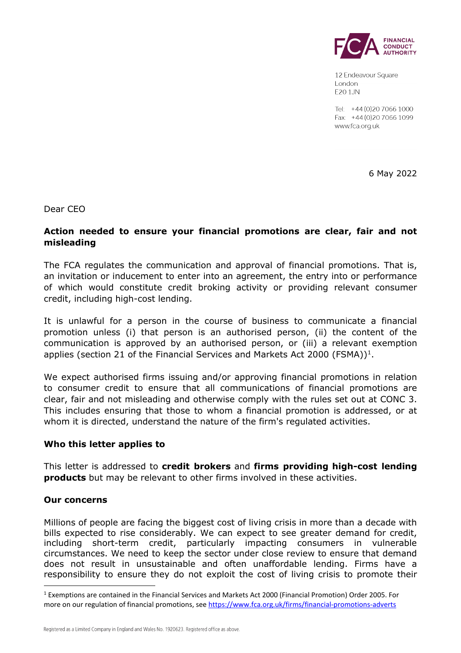

12 Endeavour Square London E20 1JN

Tel: +44 (0) 20 7066 1000 Fax: +44 (0) 20 7066 1099 www.fca.org.uk

6 May 2022

Dear CEO

# **Action needed to ensure your financial promotions are clear, fair and not misleading**

The FCA regulates the communication and approval of financial promotions. That is, an invitation or inducement to enter into an agreement, the entry into or performance of which would constitute credit broking activity or providing relevant consumer credit, including high-cost lending.

It is unlawful for a person in the course of business to communicate a financial promotion unless (i) that person is an authorised person, (ii) the content of the communication is approved by an authorised person, or (iii) a relevant exemption applies (section 2[1](#page-0-0) of the Financial Services and Markets Act 2000 (FSMA))<sup>1</sup>.

We expect authorised firms issuing and/or approving financial promotions in relation to consumer credit to ensure that all communications of financial promotions are clear, fair and not misleading and otherwise comply with the rules set out at CONC 3. This includes ensuring that those to whom a financial promotion is addressed, or at whom it is directed, understand the nature of the firm's regulated activities.

## **Who this letter applies to**

This letter is addressed to **credit brokers** and **firms providing high-cost lending products** but may be relevant to other firms involved in these activities.

#### **Our concerns**

Millions of people are facing the biggest cost of living crisis in more than a decade with bills expected to rise considerably. We can expect to see greater demand for credit, including short-term credit, particularly impacting consumers in vulnerable circumstances. We need to keep the sector under close review to ensure that demand does not result in unsustainable and often unaffordable lending. Firms have a responsibility to ensure they do not exploit the cost of living crisis to promote their

<span id="page-0-0"></span><sup>1</sup> Exemptions are contained in the Financial Services and Markets Act 2000 (Financial Promotion) Order 2005. For more on our regulation of financial promotions, see<https://www.fca.org.uk/firms/financial-promotions-adverts>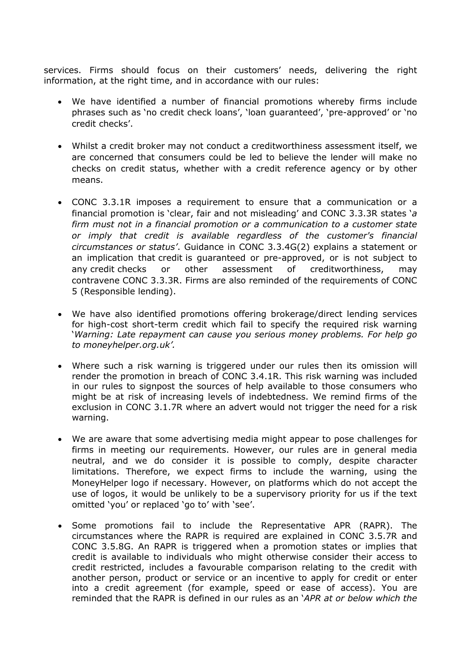services. Firms should focus on their customers' needs, delivering the right information, at the right time, and in accordance with our rules:

- We have identified a number of financial promotions whereby firms include phrases such as 'no credit check loans', 'loan guaranteed', 'pre-approved' or 'no credit checks'.
- Whilst a credit broker may not conduct a creditworthiness assessment itself, we are concerned that consumers could be led to believe the lender will make no checks on credit status, whether with a credit reference agency or by other means.
- CONC 3.3.1R imposes a requirement to ensure that a communication or a financial promotion is 'clear, fair and not misleading' and CONC 3.3.3R states '*a firm must not in a financial promotion or a communication to a customer state or imply that credit is available regardless of the customer's financial circumstances or status'*. Guidance in CONC 3.3.4G(2) explains a statement or an implication that [credit](https://www.handbook.fca.org.uk/handbook/glossary/G238.html) is guaranteed or pre-approved, or is not subject to any [credit](https://www.handbook.fca.org.uk/handbook/glossary/G238.html) checks or other assessment of creditworthiness, may contravene [CONC 3.3.3R.](https://www.handbook.fca.org.uk/handbook/CONC/3/3.html#D56) [Firms](https://www.handbook.fca.org.uk/handbook/glossary/G430.html) are also reminded of the requirements of [CONC](https://www.handbook.fca.org.uk/handbook/CONC/5/#DES1)  [5](https://www.handbook.fca.org.uk/handbook/CONC/5/#DES1) (Responsible lending).
- We have also identified promotions offering brokerage/direct lending services for high-cost short-term credit which fail to specify the required risk warning '*Warning: Late repayment can cause you serious money problems. For help go to moneyhelper.org.uk'.*
- Where such a risk warning is triggered under our rules then its omission will render the promotion in breach of CONC 3.4.1R. This risk warning was included in our rules to signpost the sources of help available to those consumers who might be at risk of increasing levels of indebtedness. We remind firms of the exclusion in CONC 3.1.7R where an advert would not trigger the need for a risk warning.
- We are aware that some advertising media might appear to pose challenges for firms in meeting our requirements. However, our rules are in general media neutral, and we do consider it is possible to comply, despite character limitations. Therefore, we expect firms to include the warning, using the MoneyHelper logo if necessary. However, on platforms which do not accept the use of logos, it would be unlikely to be a supervisory priority for us if the text omitted 'you' or replaced 'go to' with 'see'.
- Some promotions fail to include the Representative APR (RAPR). The circumstances where the RAPR is required are explained in CONC 3.5.7R and CONC 3.5.8G. An RAPR is triggered when a promotion states or implies that credit is available to individuals who might otherwise consider their access to credit restricted, includes a favourable comparison relating to the credit with another person, product or service or an incentive to apply for credit or enter into a credit agreement (for example, speed or ease of access). You are reminded that the RAPR is defined in our rules as an '*APR at or below which the*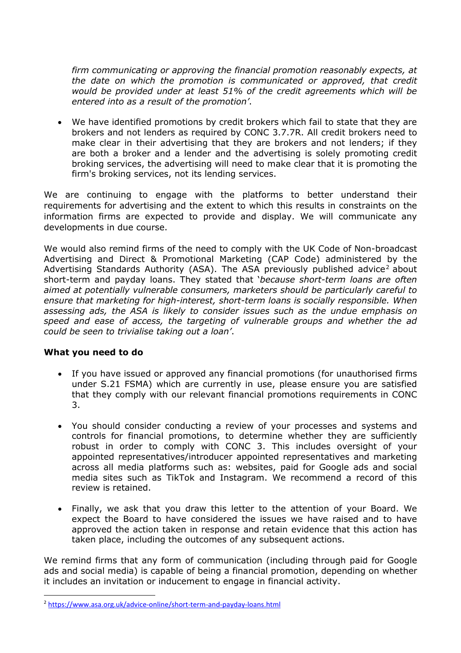*firm communicating or approving the financial promotion reasonably expects, at the date on which the promotion is communicated or approved, that credit would be provided under at least 51% of the credit agreements which will be entered into as a result of the promotion'*.

• We have identified promotions by credit brokers which fail to state that they are brokers and not lenders as required by CONC 3.7.7R. All credit brokers need to make clear in their advertising that they are brokers and not lenders; if they are both a broker and a lender and the advertising is solely promoting credit broking services, the advertising will need to make clear that it is promoting the firm's broking services, not its lending services.

We are continuing to engage with the platforms to better understand their requirements for advertising and the extent to which this results in constraints on the information firms are expected to provide and display. We will communicate any developments in due course.

We would also remind firms of the need to comply with the UK Code of Non-broadcast Advertising and Direct & Promotional Marketing (CAP Code) administered by the Advertising Standards Authority (ASA). The ASA previously published advice<sup>[2](#page-2-0)</sup> about short-term and payday loans. They stated that '*because short-term loans are often aimed at potentially vulnerable consumers, marketers should be particularly careful to ensure that marketing for high-interest, short-term loans is socially responsible. When assessing ads, the ASA is likely to consider issues such as the undue emphasis on speed and ease of access, the targeting of vulnerable groups and whether the ad could be seen to trivialise taking out a loan'*.

## **What you need to do**

- If you have issued or approved any financial promotions (for unauthorised firms under S.21 FSMA) which are currently in use, please ensure you are satisfied that they comply with our relevant financial promotions requirements in CONC 3.
- You should consider conducting a review of your processes and systems and controls for financial promotions, to determine whether they are sufficiently robust in order to comply with CONC 3. This includes oversight of your appointed representatives/introducer appointed representatives and marketing across all media platforms such as: websites, paid for Google ads and social media sites such as TikTok and Instagram. We recommend a record of this review is retained.
- Finally, we ask that you draw this letter to the attention of your Board. We expect the Board to have considered the issues we have raised and to have approved the action taken in response and retain evidence that this action has taken place, including the outcomes of any subsequent actions.

We remind firms that any form of communication (including through paid for Google ads and social media) is capable of being a financial promotion, depending on whether it includes an invitation or inducement to engage in financial activity.

<span id="page-2-0"></span><sup>2</sup> <https://www.asa.org.uk/advice-online/short-term-and-payday-loans.html>